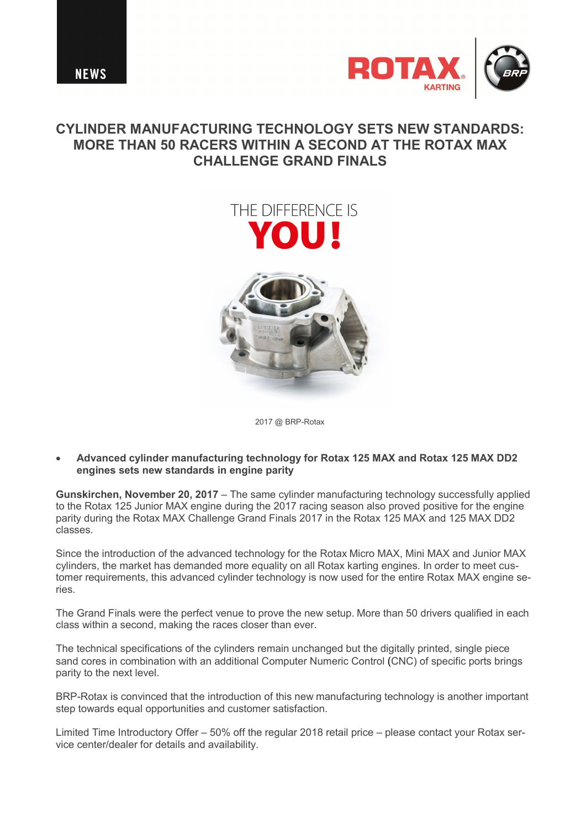



## **CYLINDER MANUFACTURING TECHNOLOGY SETS NEW STANDARDS: MORE THAN 50 RACERS WITHIN A SECOND AT THE ROTAX MAX CHALLENGE GRAND FINALS**

## THE DIFFFRENCE IS A



2017 @ BRP-Rotax

· **Advanced cylinder manufacturing technology for Rotax 125 MAX and Rotax 125 MAX DD2 engines sets new standards in engine parity**

**Gunskirchen, November 20, 2017** – The same cylinder manufacturing technology successfully applied to the Rotax 125 Junior MAX engine during the 2017 racing season also proved positive for the engine parity during the Rotax MAX Challenge Grand Finals 2017 in the Rotax 125 MAX and 125 MAX DD2 classes.

Since the introduction of the advanced technology for the Rotax Micro MAX, Mini MAX and Junior MAX cylinders, the market has demanded more equality on all Rotax karting engines. In order to meet customer requirements, this advanced cylinder technology is now used for the entire Rotax MAX engine series.

The Grand Finals were the perfect venue to prove the new setup. More than 50 drivers qualified in each class within a second, making the races closer than ever.

The technical specifications of the cylinders remain unchanged but the digitally printed, single piece sand cores in combination with an additional Computer Numeric Control (CNC) of specific ports brings parity to the next level.

BRP-Rotax is convinced that the introduction of this new manufacturing technology is another important step towards equal opportunities and customer satisfaction.

Limited Time Introductory Offer – 50% off the regular 2018 retail price – please contact your Rotax service center/dealer for details and availability.